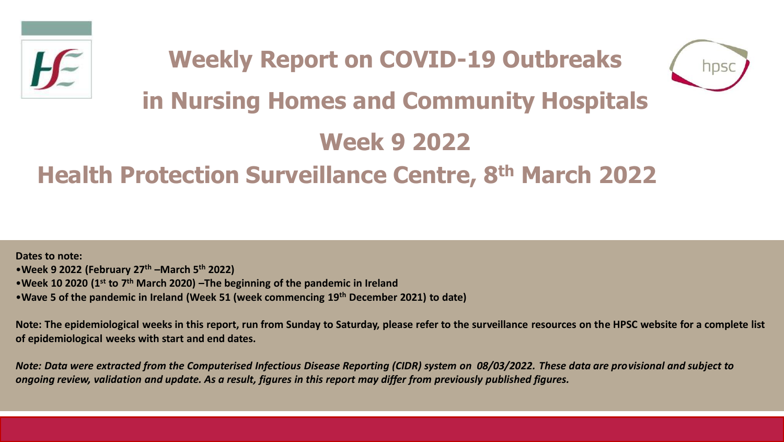



# **in Nursing Homes and Community Hospitals**

# **Week 9 2022**

# **Health Protection Surveillance Centre, 8th March 2022**

**Dates to note:** •**Week 9 2022 (February 27th –March 5th 2022)** •**Week 10 2020 (1st to 7th March 2020) –The beginning of the pandemic in Ireland**  •**Wave 5 of the pandemic in Ireland (Week 51 (week commencing 19th December 2021) to date)**

**Note: The epidemiological weeks in this report, run from Sunday to Saturday, please refer to the surveillance resources on the HPSC website for a complete list of epidemiological weeks with start and end dates.**

*Note: Data were extracted from the Computerised Infectious Disease Reporting (CIDR) system on 08/03/2022. These data are provisional and subject to ongoing review, validation and update. As a result, figures in this report may differ from previously published figures.*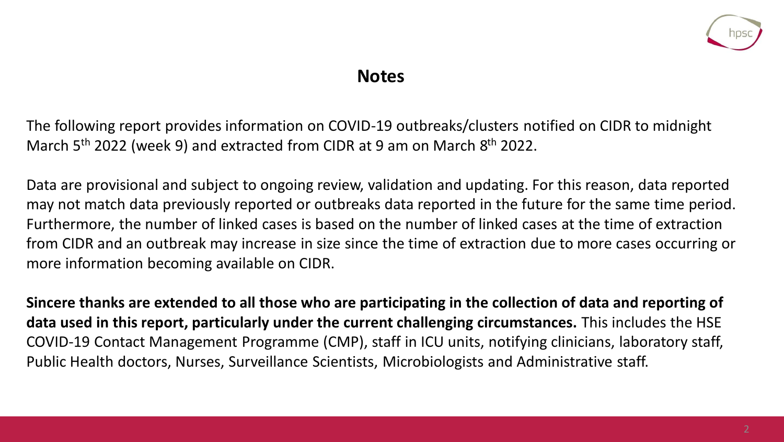

### **Notes**

The following report provides information on COVID-19 outbreaks/clusters notified on CIDR to midnight March 5<sup>th</sup> 2022 (week 9) and extracted from CIDR at 9 am on March 8<sup>th</sup> 2022.

Data are provisional and subject to ongoing review, validation and updating. For this reason, data reported may not match data previously reported or outbreaks data reported in the future for the same time period. Furthermore, the number of linked cases is based on the number of linked cases at the time of extraction from CIDR and an outbreak may increase in size since the time of extraction due to more cases occurring or more information becoming available on CIDR.

**Sincere thanks are extended to all those who are participating in the collection of data and reporting of data used in this report, particularly under the current challenging circumstances.** This includes the HSE COVID-19 Contact Management Programme (CMP), staff in ICU units, notifying clinicians, laboratory staff, Public Health doctors, Nurses, Surveillance Scientists, Microbiologists and Administrative staff.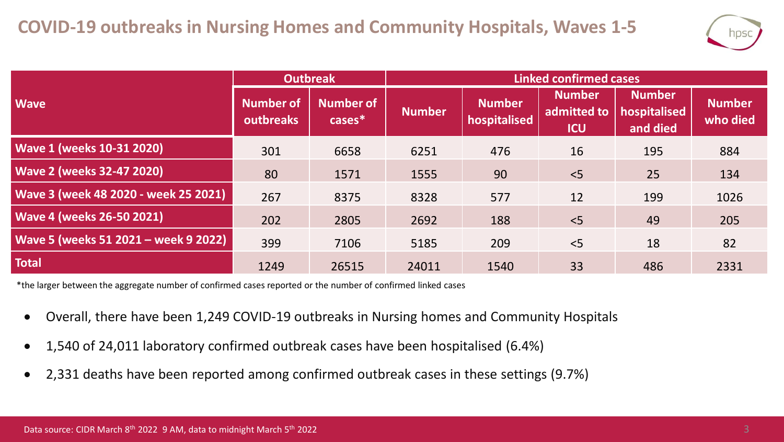

|                                      | <b>Outbreak</b>               |                            | <b>Linked confirmed cases</b> |                               |                                            |                                           |                           |  |
|--------------------------------------|-------------------------------|----------------------------|-------------------------------|-------------------------------|--------------------------------------------|-------------------------------------------|---------------------------|--|
| <b>Wave</b>                          | <b>Number of</b><br>outbreaks | <b>Number of</b><br>cases* | <b>Number</b>                 | <b>Number</b><br>hospitalised | <b>Number</b><br>admitted to<br><b>ICU</b> | <b>Number</b><br>hospitalised<br>and died | <b>Number</b><br>who died |  |
| <b>Wave 1 (weeks 10-31 2020)</b>     | 301                           | 6658                       | 6251                          | 476                           | 16                                         | 195                                       | 884                       |  |
| <b>Wave 2 (weeks 32-47 2020)</b>     | 80                            | 1571                       | 1555                          | 90                            | < 5                                        | 25                                        | 134                       |  |
| Wave 3 (week 48 2020 - week 25 2021) | 267                           | 8375                       | 8328                          | 577                           | 12                                         | 199                                       | 1026                      |  |
| <b>Wave 4 (weeks 26-50 2021)</b>     | 202                           | 2805                       | 2692                          | 188                           | < 5                                        | 49                                        | 205                       |  |
| Wave 5 (weeks 51 2021 - week 9 2022) | 399                           | 7106                       | 5185                          | 209                           | $<$ 5                                      | 18                                        | 82                        |  |
| <b>Total</b>                         | 1249                          | 26515                      | 24011                         | 1540                          | 33                                         | 486                                       | 2331                      |  |

\*the larger between the aggregate number of confirmed cases reported or the number of confirmed linked cases

- Overall, there have been 1,249 COVID-19 outbreaks in Nursing homes and Community Hospitals
- 1,540 of 24,011 laboratory confirmed outbreak cases have been hospitalised (6.4%)
- 2,331 deaths have been reported among confirmed outbreak cases in these settings (9.7%)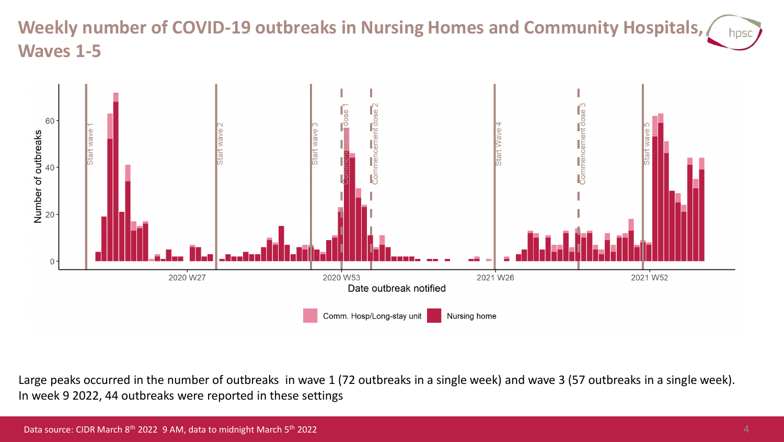#### **Weekly number of COVID-19 outbreaks in Nursing Homes and Community Hospitals,**  hpsc **Waves 1-5**



Large peaks occurred in the number of outbreaks in wave 1 (72 outbreaks in a single week) and wave 3 (57 outbreaks in a single week). In week 9 2022, 44 outbreaks were reported in these settings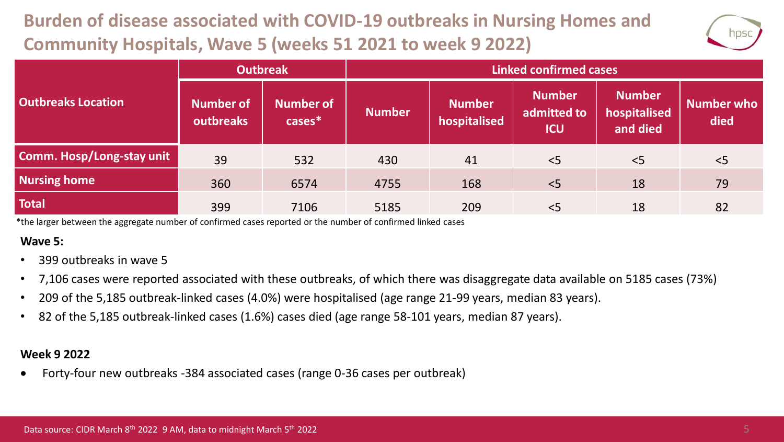# **Burden of disease associated with COVID-19 outbreaks in Nursing Homes and Community Hospitals, Wave 5 (weeks 51 2021 to week 9 2022)**



|                                  | <b>Outbreak</b>        |                               | <b>Linked confirmed cases</b> |                               |                                            |                                           |                           |  |
|----------------------------------|------------------------|-------------------------------|-------------------------------|-------------------------------|--------------------------------------------|-------------------------------------------|---------------------------|--|
| <b>Outbreaks Location</b>        | Number of<br>outbreaks | <b>Number of</b><br>$cases^*$ | <b>Number</b>                 | <b>Number</b><br>hospitalised | <b>Number</b><br>admitted to<br><b>ICU</b> | <b>Number</b><br>hospitalised<br>and died | <b>Number who</b><br>died |  |
| <b>Comm. Hosp/Long-stay unit</b> | 39                     | 532                           | 430                           | 41                            | < 5                                        | < 5                                       | < 5                       |  |
| <b>Nursing home</b>              | 360                    | 6574                          | 4755                          | 168                           | < 5                                        | 18                                        | 79                        |  |
| <b>Total</b>                     | 399                    | 7106                          | 5185                          | 209                           | < 5                                        | 18                                        | 82                        |  |

\*the larger between the aggregate number of confirmed cases reported or the number of confirmed linked cases

#### **Wave 5:**

- 399 outbreaks in wave 5
- 7,106 cases were reported associated with these outbreaks, of which there was disaggregate data available on 5185 cases (73%)
- 209 of the 5,185 outbreak-linked cases (4.0%) were hospitalised (age range 21-99 years, median 83 years).
- 82 of the 5,185 outbreak-linked cases (1.6%) cases died (age range 58-101 years, median 87 years).

#### **Week 9 2022**

• Forty-four new outbreaks -384 associated cases (range 0-36 cases per outbreak)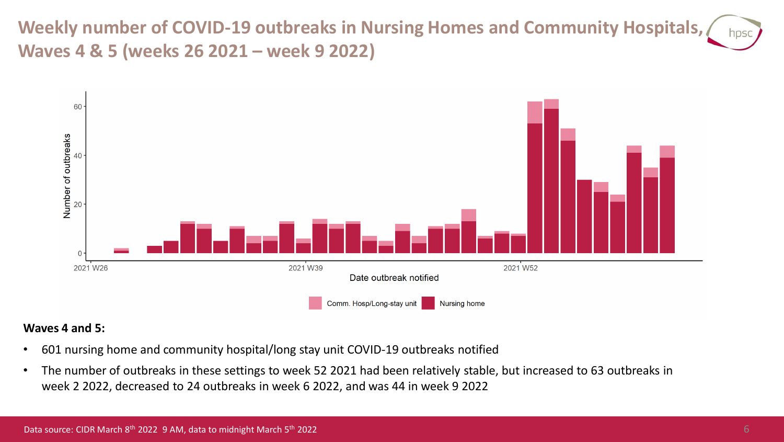**Weekly number of COVID-19 outbreaks in Nursing Homes and Community Hospitals, Waves 4 & 5 (weeks 26 2021 – week 9 2022)**



#### **Waves 4 and 5:**

- 601 nursing home and community hospital/long stay unit COVID-19 outbreaks notified
- The number of outbreaks in these settings to week 52 2021 had been relatively stable, but increased to 63 outbreaks in week 2 2022, decreased to 24 outbreaks in week 6 2022, and was 44 in week 9 2022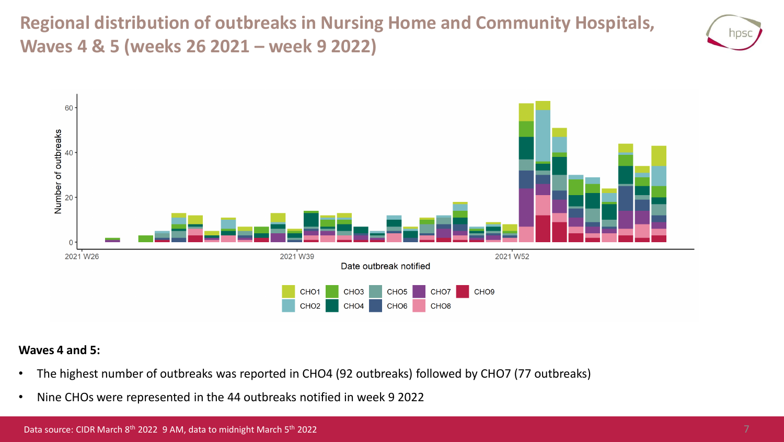**Regional distribution of outbreaks in Nursing Home and Community Hospitals, Waves 4 & 5 (weeks 26 2021 – week 9 2022)**





#### **Waves 4 and 5:**

- The highest number of outbreaks was reported in CHO4 (92 outbreaks) followed by CHO7 (77 outbreaks)
- Nine CHOs were represented in the 44 outbreaks notified in week 9 2022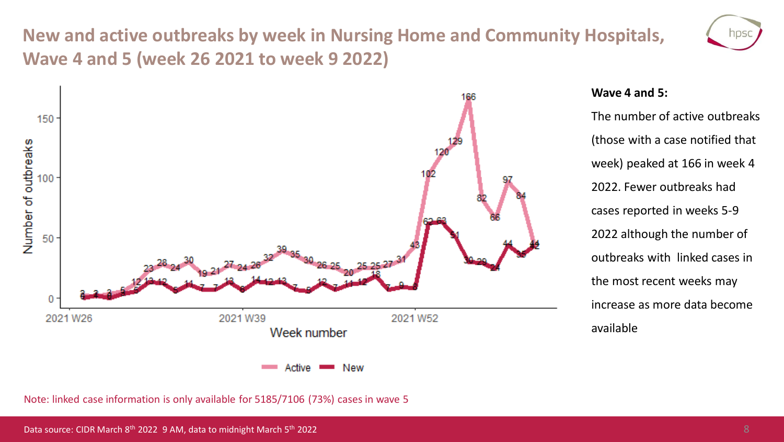## **New and active outbreaks by week in Nursing Home and Community Hospitals, Wave 4 and 5 (week 26 2021 to week 9 2022)**



#### **Wave 4 and 5:**

The number of active outbreaks (those with a case notified that week) peaked at 166 in week 4 2022. Fewer outbreaks had cases reported in weeks 5-9 2022 although the number of outbreaks with linked cases in the most recent weeks may increase as more data become available

Note: linked case information is only available for 5185/7106 (73%) cases in wave 5

hps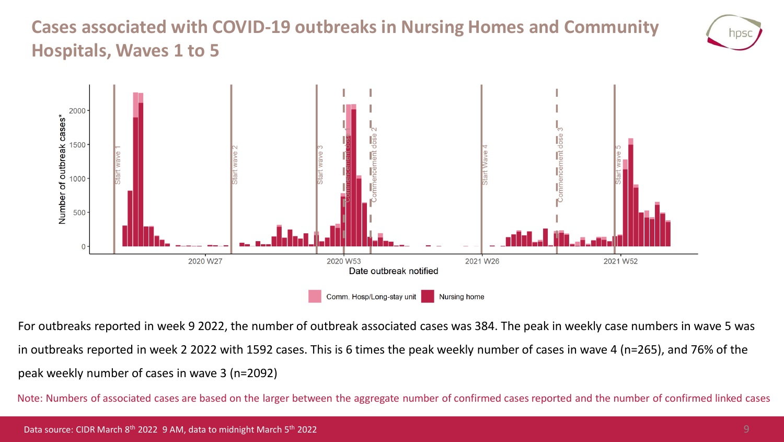## **Cases associated with COVID-19 outbreaks in Nursing Homes and Community Hospitals, Waves 1 to 5**





For outbreaks reported in week 9 2022, the number of outbreak associated cases was 384. The peak in weekly case numbers in wave 5 was in outbreaks reported in week 2 2022 with 1592 cases. This is 6 times the peak weekly number of cases in wave 4 (n=265), and 76% of the peak weekly number of cases in wave 3 (n=2092)

Note: Numbers of associated cases are based on the larger between the aggregate number of confirmed cases reported and the number of confirmed linked cases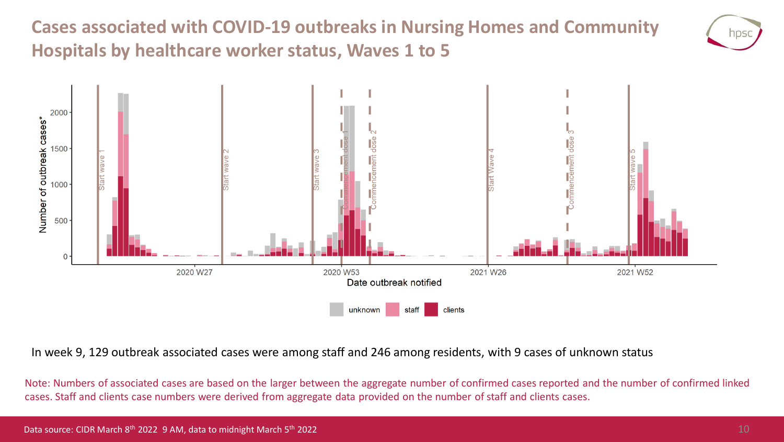**Cases associated with COVID-19 outbreaks in Nursing Homes and Community Hospitals by healthcare worker status, Waves 1 to 5**





In week 9, 129 outbreak associated cases were among staff and 246 among residents, with 9 cases of unknown status

Note: Numbers of associated cases are based on the larger between the aggregate number of confirmed cases reported and the number of confirmed linked cases. Staff and clients case numbers were derived from aggregate data provided on the number of staff and clients cases.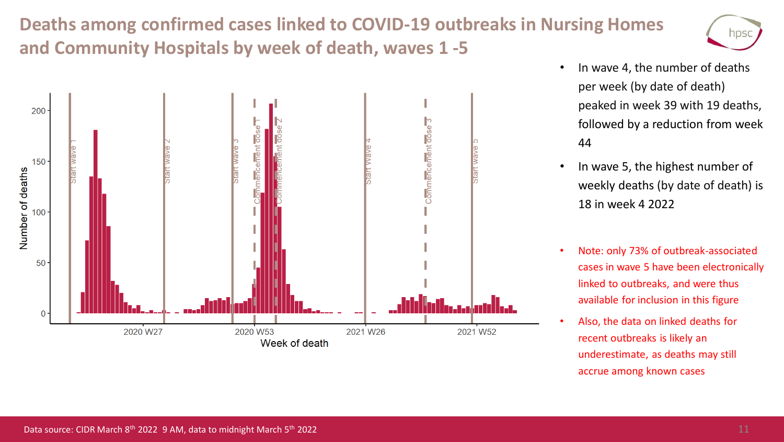## **Deaths among confirmed cases linked to COVID-19 outbreaks in Nursing Homes and Community Hospitals by week of death, waves 1 -5**





- In wave 4, the number of deaths per week (by date of death) peaked in week 39 with 19 deaths, followed by a reduction from week 44
- In wave 5, the highest number of weekly deaths (by date of death) is 18 in week 4 2022
- Note: only 73% of outbreak-associated cases in wave 5 have been electronically linked to outbreaks, and were thus available for inclusion in this figure
- Also, the data on linked deaths for recent outbreaks is likely an underestimate, as deaths may still accrue among known cases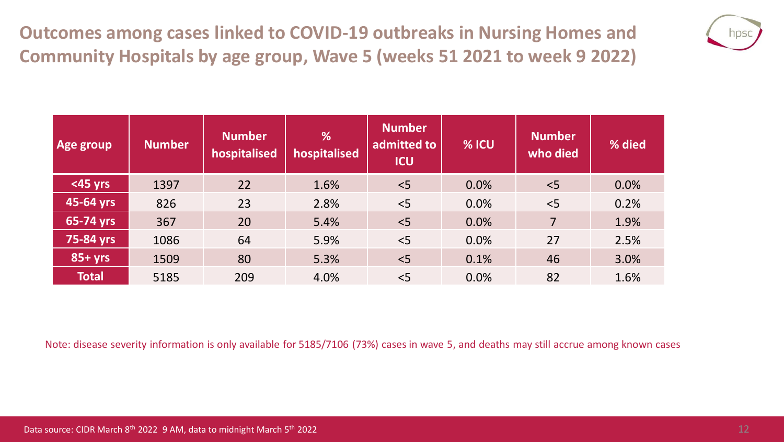**Outcomes among cases linked to COVID-19 outbreaks in Nursing Homes and Community Hospitals by age group, Wave 5 (weeks 51 2021 to week 9 2022)**



| Age group    | <b>Number</b> | <b>Number</b><br>hospitalised | %<br>hospitalised | <b>Number</b><br>admitted to<br><b>ICU</b> | % ICU | <b>Number</b><br>who died | % died |
|--------------|---------------|-------------------------------|-------------------|--------------------------------------------|-------|---------------------------|--------|
| <45 yrs      | 1397          | 22                            | 1.6%              | < 5                                        | 0.0%  | < 5                       | 0.0%   |
| 45-64 yrs    | 826           | 23                            | 2.8%              | < 5                                        | 0.0%  | $<$ 5                     | 0.2%   |
| 65-74 yrs    | 367           | 20                            | 5.4%              | < 5                                        | 0.0%  | $\overline{7}$            | 1.9%   |
| 75-84 yrs    | 1086          | 64                            | 5.9%              | < 5                                        | 0.0%  | 27                        | 2.5%   |
| $85+yrs$     | 1509          | 80                            | 5.3%              | < 5                                        | 0.1%  | 46                        | 3.0%   |
| <b>Total</b> | 5185          | 209                           | 4.0%              | < 5                                        | 0.0%  | 82                        | 1.6%   |

Note: disease severity information is only available for 5185/7106 (73%) cases in wave 5, and deaths may still accrue among known cases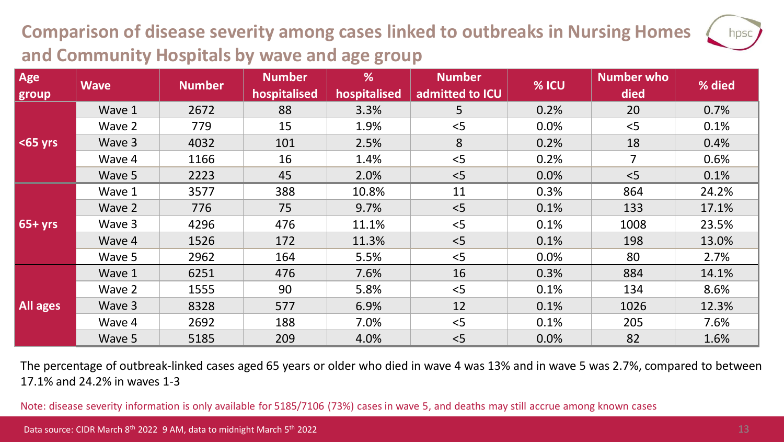## **Comparison of disease severity among cases linked to outbreaks in Nursing Homes and Community Hospitals by wave and age group**

| Age<br>group | <b>Wave</b> | <b>Number</b> | <b>Number</b><br>hospitalised | %<br>hospitalised | <b>Number</b><br>admitted to ICU | % ICU | <b>Number who</b><br>died | % died |
|--------------|-------------|---------------|-------------------------------|-------------------|----------------------------------|-------|---------------------------|--------|
|              | Wave 1      | 2672          | 88                            | 3.3%              | 5                                | 0.2%  | 20                        | 0.7%   |
|              | Wave 2      | 779           | 15                            | 1.9%              | < 5                              | 0.0%  | < 5                       | 0.1%   |
| $65$ yrs     | Wave 3      | 4032          | 101                           | 2.5%              | 8                                | 0.2%  | 18                        | 0.4%   |
|              | Wave 4      | 1166          | 16                            | 1.4%              | < 5                              | 0.2%  | $\overline{7}$            | 0.6%   |
|              | Wave 5      | 2223          | 45                            | 2.0%              | < 5                              | 0.0%  | < 5                       | 0.1%   |
| $65+yrs$     | Wave 1      | 3577          | 388                           | 10.8%             | 11                               | 0.3%  | 864                       | 24.2%  |
|              | Wave 2      | 776           | 75                            | 9.7%              | < 5                              | 0.1%  | 133                       | 17.1%  |
|              | Wave 3      | 4296          | 476                           | 11.1%             | < 5                              | 0.1%  | 1008                      | 23.5%  |
|              | Wave 4      | 1526          | 172                           | 11.3%             | < 5                              | 0.1%  | 198                       | 13.0%  |
|              | Wave 5      | 2962          | 164                           | 5.5%              | < 5                              | 0.0%  | 80                        | 2.7%   |
| All ages     | Wave 1      | 6251          | 476                           | 7.6%              | 16                               | 0.3%  | 884                       | 14.1%  |
|              | Wave 2      | 1555          | 90                            | 5.8%              | < 5                              | 0.1%  | 134                       | 8.6%   |
|              | Wave 3      | 8328          | 577                           | 6.9%              | 12                               | 0.1%  | 1026                      | 12.3%  |
|              | Wave 4      | 2692          | 188                           | 7.0%              | 5                                | 0.1%  | 205                       | 7.6%   |
|              | Wave 5      | 5185          | 209                           | 4.0%              | < 5                              | 0.0%  | 82                        | 1.6%   |

The percentage of outbreak-linked cases aged 65 years or older who died in wave 4 was 13% and in wave 5 was 2.7%, compared to between 17.1% and 24.2% in waves 1-3

Note: disease severity information is only available for 5185/7106 (73%) cases in wave 5, and deaths may still accrue among known cases

hpsc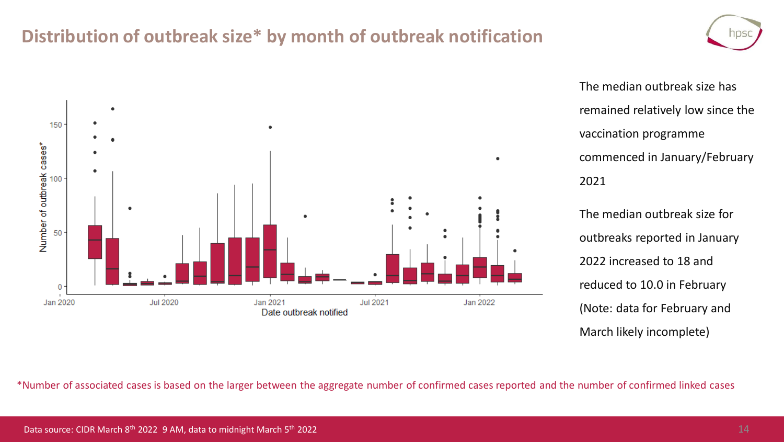### **Distribution of outbreak size\* by month of outbreak notification**



The median outbreak size has remained relatively low since the vaccination programme commenced in January/February 2021 The median outbreak size for

outbreaks reported in January 2022 increased to 18 and reduced to 10.0 in February (Note: data for February and March likely incomplete)

\*Number of associated cases is based on the larger between the aggregate number of confirmed cases reported and the number of confirmed linked cases

NDS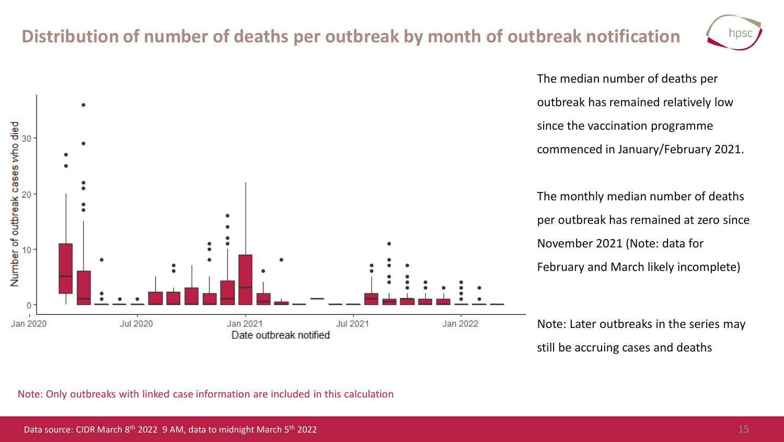### **Distribution of number of deaths per outbreak by month of outbreak notification**

**Jul 2021** 

Jan 2022



The median number of deaths per outbreak has remained relatively low since the vaccination programme commenced in January/February 2021.

The monthly median number of deaths per outbreak has remained at zero since November 2021 (Note: data for February and March likely incomplete)

Note: Later outbreaks in the series may still be accruing cases and deaths

Note: Only outbreaks with linked case information are included in this calculation

Jan 2021

Date outbreak notified

**Jul 2020** 

cases who died

Number of outbreak o

0

Jan 2020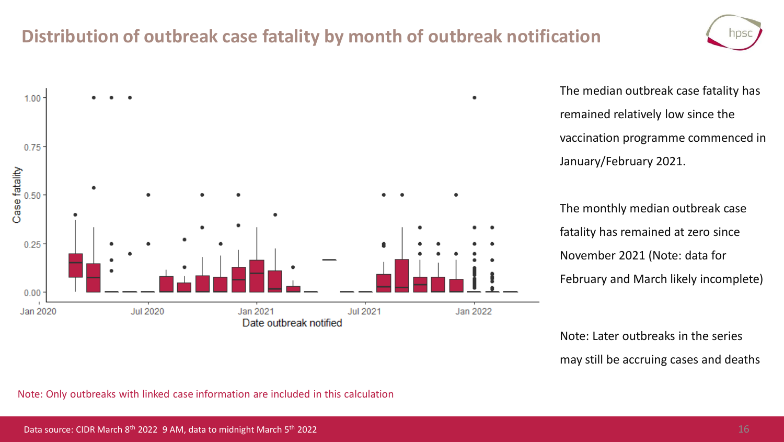### **Distribution of outbreak case fatality by month of outbreak notification**





The median outbreak case fatality has remained relatively low since the vaccination programme commenced in January/February 2021.

The monthly median outbreak case fatality has remained at zero since November 2021 (Note: data for February and March likely incomplete)

Note: Later outbreaks in the series may still be accruing cases and deaths

Note: Only outbreaks with linked case information are included in this calculation